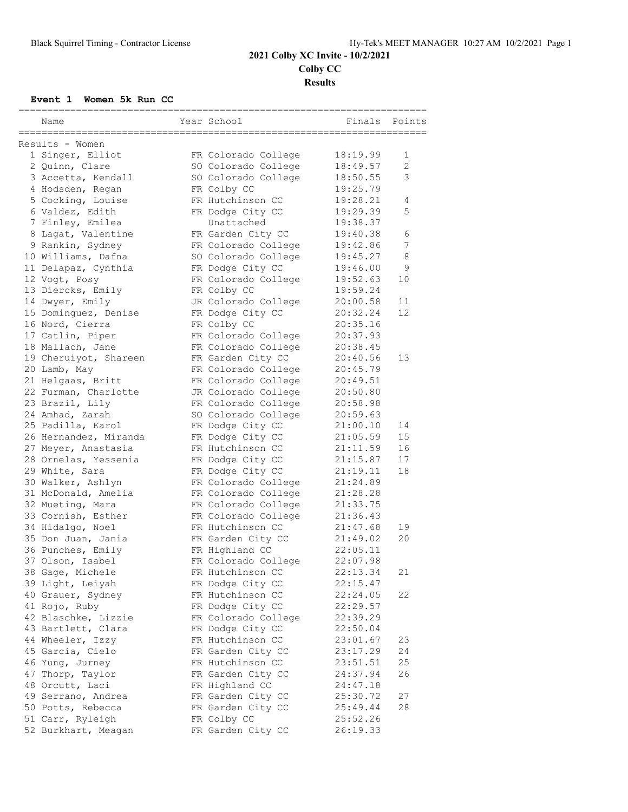### **2021 Colby XC Invite - 10/2/2021 Colby CC Results**

#### **Event 1 Women 5k Run CC**

| Name                  | Year School         | Finals   | Points         |
|-----------------------|---------------------|----------|----------------|
| Results - Women       |                     |          |                |
| 1 Singer, Elliot      | FR Colorado College | 18:19.99 | 1              |
| 2 Quinn, Clare        | SO Colorado College | 18:49.57 | $\overline{2}$ |
| 3 Accetta, Kendall    | SO Colorado College | 18:50.55 | 3              |
| 4 Hodsden, Regan      | FR Colby CC         | 19:25.79 |                |
| 5 Cocking, Louise     | FR Hutchinson CC    | 19:28.21 | 4              |
| 6 Valdez, Edith       | FR Dodge City CC    | 19:29.39 | 5              |
| 7 Finley, Emilea      | Unattached          | 19:38.37 |                |
| 8 Lagat, Valentine    | FR Garden City CC   | 19:40.38 | 6              |
| 9 Rankin, Sydney      | FR Colorado College | 19:42.86 | 7              |
| 10 Williams, Dafna    | SO Colorado College | 19:45.27 | $\,8\,$        |
| 11 Delapaz, Cynthia   | FR Dodge City CC    | 19:46.00 | 9              |
| 12 Vogt, Posy         | FR Colorado College | 19:52.63 | 10             |
| 13 Diercks, Emily     | FR Colby CC         | 19:59.24 |                |
| 14 Dwyer, Emily       | JR Colorado College | 20:00.58 | 11             |
| 15 Dominguez, Denise  | FR Dodge City CC    | 20:32.24 | 12             |
| 16 Nord, Cierra       | FR Colby CC         | 20:35.16 |                |
| 17 Catlin, Piper      | FR Colorado College | 20:37.93 |                |
| 18 Mallach, Jane      | FR Colorado College | 20:38.45 |                |
| 19 Cheruiyot, Shareen | FR Garden City CC   | 20:40.56 | 13             |
| 20 Lamb, May          | FR Colorado College | 20:45.79 |                |
| 21 Helgaas, Britt     | FR Colorado College | 20:49.51 |                |
| 22 Furman, Charlotte  | JR Colorado College | 20:50.80 |                |
| 23 Brazil, Lily       | FR Colorado College | 20:58.98 |                |
| 24 Amhad, Zarah       | SO Colorado College | 20:59.63 |                |
| 25 Padilla, Karol     | FR Dodge City CC    | 21:00.10 | 14             |
| 26 Hernandez, Miranda | FR Dodge City CC    | 21:05.59 | 15             |
| 27 Meyer, Anastasia   | FR Hutchinson CC    | 21:11.59 | 16             |
| 28 Ornelas, Yessenia  | FR Dodge City CC    | 21:15.87 | 17             |
| 29 White, Sara        | FR Dodge City CC    | 21:19.11 | 18             |
| 30 Walker, Ashlyn     | FR Colorado College | 21:24.89 |                |
| 31 McDonald, Amelia   | FR Colorado College | 21:28.28 |                |
| 32 Mueting, Mara      | FR Colorado College | 21:33.75 |                |
| 33 Cornish, Esther    | FR Colorado College | 21:36.43 |                |
| 34 Hidalgo, Noel      | FR Hutchinson CC    | 21:47.68 | 19             |
| 35 Don Juan, Jania    | FR Garden City CC   | 21:49.02 | 20             |
| 36 Punches, Emily     | FR Highland CC      | 22:05.11 |                |
| 37 Olson, Isabel      | FR Colorado College | 22:07.98 |                |
| 38 Gage, Michele      | FR Hutchinson CC    | 22:13.34 | 21             |
| 39 Light, Leiyah      | FR Dodge City CC    | 22:15.47 |                |
| 40 Grauer, Sydney     | FR Hutchinson CC    | 22:24.05 | 22             |
| 41 Rojo, Ruby         | FR Dodge City CC    | 22:29.57 |                |
| 42 Blaschke, Lizzie   | FR Colorado College | 22:39.29 |                |
| 43 Bartlett, Clara    | FR Dodge City CC    | 22:50.04 |                |
| 44 Wheeler, Izzy      | FR Hutchinson CC    | 23:01.67 | 23             |
| 45 Garcia, Cielo      | FR Garden City CC   | 23:17.29 | 24             |
| 46 Yung, Jurney       | FR Hutchinson CC    | 23:51.51 | 25             |
| 47 Thorp, Taylor      | FR Garden City CC   | 24:37.94 | 26             |
| 48 Orcutt, Laci       | FR Highland CC      | 24:47.18 |                |
| 49 Serrano, Andrea    | FR Garden City CC   | 25:30.72 | 27             |
| 50 Potts, Rebecca     | FR Garden City CC   | 25:49.44 | 28             |
| 51 Carr, Ryleigh      | FR Colby CC         | 25:52.26 |                |
| 52 Burkhart, Meagan   | FR Garden City CC   | 26:19.33 |                |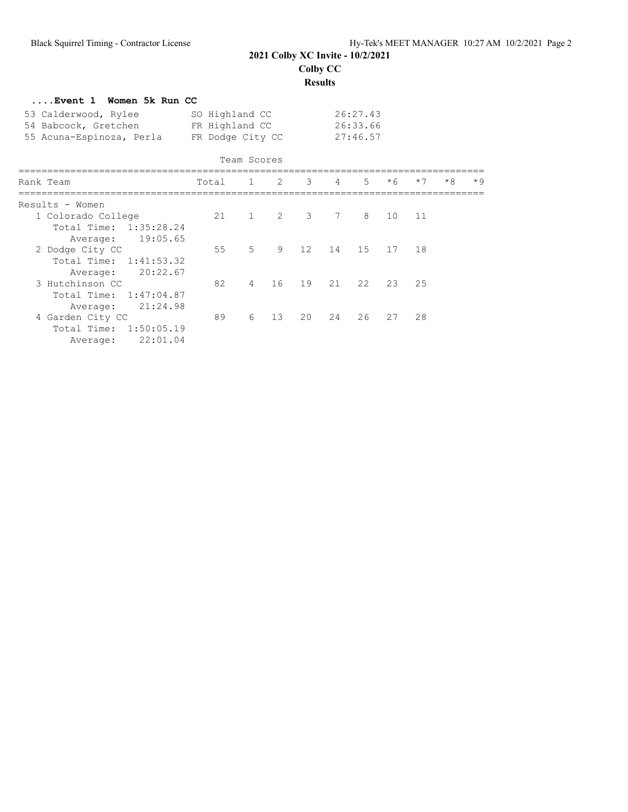## **2021 Colby XC Invite - 10/2/2021 Colby CC**

**Results**

| Event 1 Women 5k Run CC                                                                                  |                |                |    |                     |                                  |       |      |      |      |      |
|----------------------------------------------------------------------------------------------------------|----------------|----------------|----|---------------------|----------------------------------|-------|------|------|------|------|
| 53 Calderwood, Rylee<br>54 Babcock, Gretchen FR Highland CC<br>55 Acuna-Espinoza, Perla FR Dodge City CC | SO Highland CC |                |    |                     | 26:27.43<br>26:33.66<br>27:46.57 |       |      |      |      |      |
|                                                                                                          |                | Team Scores    |    |                     |                                  |       |      |      |      |      |
| Rank Team                                                                                                | Total          |                |    | $1 \quad 2 \quad 3$ | $4\degree$                       | $5 -$ | $*6$ | $*7$ | $*8$ | $*9$ |
| Results - Women                                                                                          |                |                |    |                     |                                  |       |      |      |      |      |
| 1 Colorado College<br>Total Time: 1:35:28.24<br>Average: 19:05.65                                        | 21             |                |    | $1 \quad 2 \quad 3$ | 7                                | 8     | 10   | 11   |      |      |
| 2 Dodge City CC<br>Total Time: 1:41:53.32<br>Average: 20:22.67                                           | 55             | 5              | 9  | 12                  | 14                               | 1.5   | 17   | 18   |      |      |
| 3 Hutchinson CC<br>Total Time: 1:47:04.87<br>21:24.98<br>Average:                                        | 82             | $\overline{4}$ | 16 | 19                  | 21                               | 22    | 23   | 25   |      |      |
| 4 Garden City CC<br>Total Time: 1:50:05.19<br>22:01.04<br>Average:                                       | 89             | 6              | 13 | 20                  | 24                               | 26    | 27   | 28   |      |      |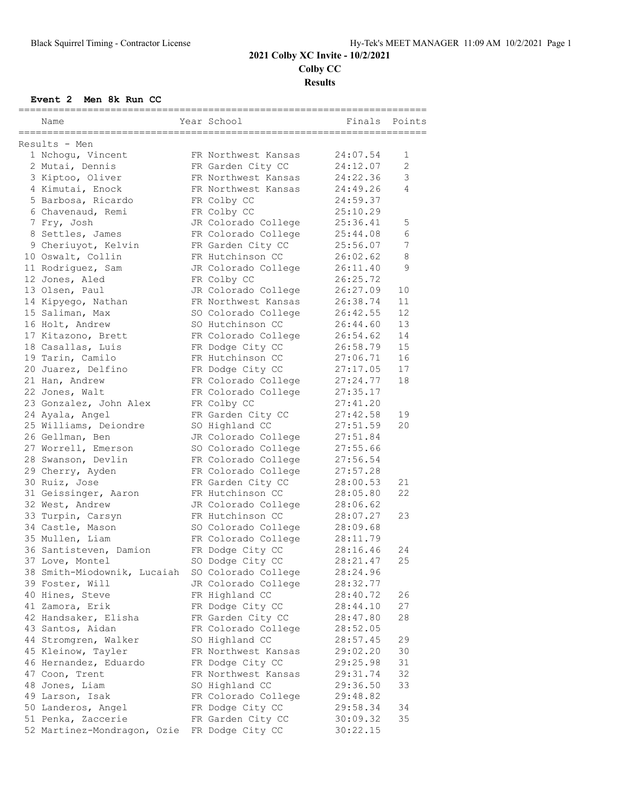# **2021 Colby XC Invite - 10/2/2021 Colby CC Results**

#### **Event 2 Men 8k Run CC**

|                                                       |                                 |  |                                       | ------=============== |                |  |  |  |  |
|-------------------------------------------------------|---------------------------------|--|---------------------------------------|-----------------------|----------------|--|--|--|--|
|                                                       | Name                            |  | Year School                           | Finals                | Points         |  |  |  |  |
| ====================================<br>Results - Men |                                 |  |                                       |                       |                |  |  |  |  |
|                                                       | 1 Nchogu, Vincent               |  | FR Northwest Kansas                   | 24:07.54              | 1              |  |  |  |  |
|                                                       | 2 Mutai, Dennis                 |  | FR Garden City CC                     | 24:12.07              | 2              |  |  |  |  |
|                                                       | 3 Kiptoo, Oliver                |  | FR Northwest Kansas                   | 24:22.36              | 3              |  |  |  |  |
|                                                       | 4 Kimutai, Enock                |  | FR Northwest Kansas                   | 24:49.26              | $\overline{4}$ |  |  |  |  |
|                                                       | 5 Barbosa, Ricardo              |  | FR Colby CC                           | 24:59.37              |                |  |  |  |  |
|                                                       | 6 Chavenaud, Remi               |  | FR Colby CC                           | 25:10.29              |                |  |  |  |  |
|                                                       |                                 |  | JR Colorado College                   | 25:36.41              | 5              |  |  |  |  |
|                                                       | 7 Fry, Josh<br>8 Settles, James |  | FR Colorado College                   | 25:44.08              | 6              |  |  |  |  |
|                                                       |                                 |  |                                       | 25:56.07              | 7              |  |  |  |  |
|                                                       | 9 Cheriuyot, Kelvin             |  | FR Garden City CC<br>FR Hutchinson CC | 26:02.62              | 8              |  |  |  |  |
|                                                       | 10 Oswalt, Collin               |  |                                       |                       |                |  |  |  |  |
|                                                       | 11 Rodriguez, Sam               |  | JR Colorado College                   | 26:11.40              | 9              |  |  |  |  |
|                                                       | 12 Jones, Aled                  |  | FR Colby CC                           | 26:25.72              |                |  |  |  |  |
|                                                       | 13 Olsen, Paul                  |  | JR Colorado College                   | 26:27.09              | 10             |  |  |  |  |
|                                                       | 14 Kipyego, Nathan              |  | FR Northwest Kansas                   | 26:38.74              | 11             |  |  |  |  |
|                                                       | 15 Saliman, Max                 |  | SO Colorado College                   | 26:42.55              | 12             |  |  |  |  |
|                                                       | 16 Holt, Andrew                 |  | SO Hutchinson CC                      | 26:44.60              | 13             |  |  |  |  |
|                                                       | 17 Kitazono, Brett              |  | FR Colorado College                   | 26:54.62              | 14             |  |  |  |  |
|                                                       | 18 Casallas, Luis               |  | FR Dodge City CC                      | 26:58.79              | 15             |  |  |  |  |
|                                                       | 19 Tarin, Camilo                |  | FR Hutchinson CC                      | 27:06.71              | 16             |  |  |  |  |
|                                                       | 20 Juarez, Delfino              |  | FR Dodge City CC                      | 27:17.05              | 17             |  |  |  |  |
|                                                       | 21 Han, Andrew                  |  | FR Colorado College                   | 27:24.77              | 18             |  |  |  |  |
|                                                       | 22 Jones, Walt                  |  | FR Colorado College                   | 27:35.17              |                |  |  |  |  |
|                                                       | 23 Gonzalez, John Alex          |  | FR Colby CC                           | 27:41.20              |                |  |  |  |  |
|                                                       | 24 Ayala, Angel                 |  | FR Garden City CC                     | 27:42.58              | 19             |  |  |  |  |
|                                                       | 25 Williams, Deiondre           |  | SO Highland CC                        | 27:51.59              | 20             |  |  |  |  |
|                                                       | 26 Gellman, Ben                 |  | JR Colorado College                   | 27:51.84              |                |  |  |  |  |
|                                                       | 27 Worrell, Emerson             |  | SO Colorado College                   | 27:55.66              |                |  |  |  |  |
|                                                       | 28 Swanson, Devlin              |  | FR Colorado College                   | 27:56.54              |                |  |  |  |  |
|                                                       | 29 Cherry, Ayden                |  | FR Colorado College                   | 27:57.28              |                |  |  |  |  |
|                                                       | 30 Ruiz, Jose                   |  | FR Garden City CC                     | 28:00.53              | 21             |  |  |  |  |
|                                                       | 31 Geissinger, Aaron            |  | FR Hutchinson CC                      | 28:05.80              | 22             |  |  |  |  |
|                                                       | 32 West, Andrew                 |  | JR Colorado College                   | 28:06.62              |                |  |  |  |  |
|                                                       | 33 Turpin, Carsyn               |  | FR Hutchinson CC                      | 28:07.27              | 23             |  |  |  |  |
|                                                       | 34 Castle, Mason                |  | SO Colorado College                   | 28:09.68              |                |  |  |  |  |
|                                                       | 35 Mullen, Liam                 |  | FR Colorado College                   | 28:11.79              |                |  |  |  |  |
|                                                       | 36 Santisteven, Damion          |  | FR Dodge City CC                      | 28:16.46              | 24             |  |  |  |  |
|                                                       | 37 Love, Montel                 |  | SO Dodge City CC                      | 28:21.47              | 25             |  |  |  |  |
|                                                       | 38 Smith-Miodownik, Lucaiah     |  | SO Colorado College                   | 28:24.96              |                |  |  |  |  |
|                                                       | 39 Foster, Will                 |  | JR Colorado College                   | 28:32.77              |                |  |  |  |  |
|                                                       | 40 Hines, Steve                 |  | FR Highland CC                        | 28:40.72              | 26             |  |  |  |  |
|                                                       | 41 Zamora, Erik                 |  | FR Dodge City CC                      | 28:44.10              | 27             |  |  |  |  |
|                                                       | 42 Handsaker, Elisha            |  | FR Garden City CC                     | 28:47.80              | 28             |  |  |  |  |
|                                                       | 43 Santos, Aidan                |  | FR Colorado College                   | 28:52.05              |                |  |  |  |  |
|                                                       | 44 Stromgren, Walker            |  | SO Highland CC                        | 28:57.45              | 29             |  |  |  |  |
|                                                       | 45 Kleinow, Tayler              |  | FR Northwest Kansas                   | 29:02.20              | 30             |  |  |  |  |
|                                                       | 46 Hernandez, Eduardo           |  | FR Dodge City CC                      | 29:25.98              | 31             |  |  |  |  |
|                                                       | 47 Coon, Trent                  |  | FR Northwest Kansas                   | 29:31.74              | 32             |  |  |  |  |
|                                                       | 48 Jones, Liam                  |  | SO Highland CC                        | 29:36.50              | 33             |  |  |  |  |
|                                                       | 49 Larson, Isak                 |  | FR Colorado College                   | 29:48.82              |                |  |  |  |  |
|                                                       | 50 Landeros, Angel              |  | FR Dodge City CC                      | 29:58.34              | 34             |  |  |  |  |
|                                                       | 51 Penka, Zaccerie              |  | FR Garden City CC                     | 30:09.32              | 35             |  |  |  |  |
|                                                       | 52 Martinez-Mondragon, Ozie     |  | FR Dodge City CC                      | 30:22.15              |                |  |  |  |  |
|                                                       |                                 |  |                                       |                       |                |  |  |  |  |